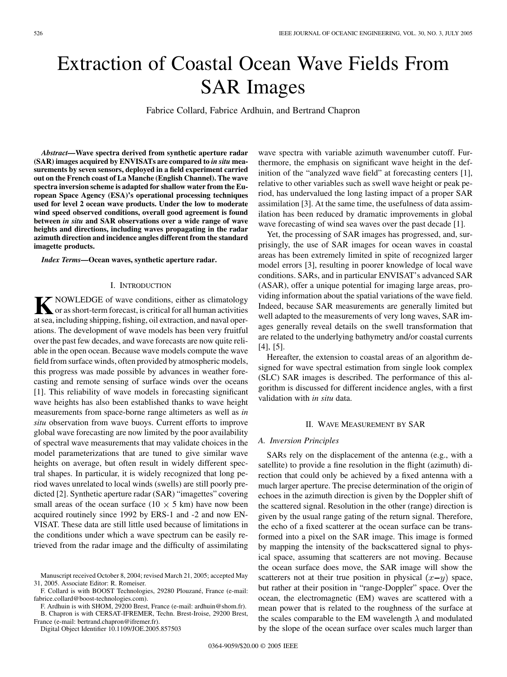# Extraction of Coastal Ocean Wave Fields From SAR Images

Fabrice Collard, Fabrice Ardhuin, and Bertrand Chapron

*Abstract—***Wave spectra derived from synthetic aperture radar (SAR) images acquired by ENVISATs are compared to** *in situ* **measurements by seven sensors, deployed in a field experiment carried out on the French coast of La Manche (English Channel). The wave spectra inversion scheme is adapted for shallow water from the European Space Agency (ESA)'s operational processing techniques used for level 2 ocean wave products. Under the low to moderate wind speed observed conditions, overall good agreement is found between** *in situ* **and SAR observations over a wide range of wave heights and directions, including waves propagating in the radar azimuth direction and incidence angles different from the standard imagette products.**

#### *Index Terms—***Ocean waves, synthetic aperture radar.**

#### I. INTRODUCTION

**K**NOWLEDGE of wave conditions, either as climatology<br>or as short-term forecast, is critical for all human activities at sea, including shipping, fishing, oil extraction, and naval operations. The development of wave models has been very fruitful over the past few decades, and wave forecasts are now quite reliable in the open ocean. Because wave models compute the wave field from surface winds, often provided by atmospheric models, this progress was made possible by advances in weather forecasting and remote sensing of surface winds over the oceans [[1\]](#page-7-0). This reliability of wave models in forecasting significant wave heights has also been established thanks to wave height measurements from space-borne range altimeters as well as *in situ* observation from wave buoys. Current efforts to improve global wave forecasting are now limited by the poor availability of spectral wave measurements that may validate choices in the model parameterizations that are tuned to give similar wave heights on average, but often result in widely different spectral shapes. In particular, it is widely recognized that long period waves unrelated to local winds (swells) are still poorly predicted [\[2](#page-7-0)]. Synthetic aperture radar (SAR) "imagettes" covering small areas of the ocean surface  $(10 \times 5 \text{ km})$  have now been acquired routinely since 1992 by ERS-1 and -2 and now EN-VISAT. These data are still little used because of limitations in the conditions under which a wave spectrum can be easily retrieved from the radar image and the difficulty of assimilating

F. Ardhuin is with SHOM, 29200 Brest, France (e-mail: ardhuin@shom.fr). B. Chapron is with CERSAT-IFREMER, Techn. Brest-Iroise, 29200 Brest,

France (e-mail: bertrand.chapron@ifremer.fr).

Digital Object Identifier 10.1109/JOE.2005.857503

wave spectra with variable azimuth wavenumber cutoff. Furthermore, the emphasis on significant wave height in the definition of the "analyzed wave field" at forecasting centers [[1\]](#page-7-0), relative to other variables such as swell wave height or peak period, has undervalued the long lasting impact of a proper SAR assimilation [\[3](#page-7-0)]. At the same time, the usefulness of data assimilation has been reduced by dramatic improvements in global wave forecasting of wind sea waves over the past decade [[1\]](#page-7-0).

Yet, the processing of SAR images has progressed, and, surprisingly, the use of SAR images for ocean waves in coastal areas has been extremely limited in spite of recognized larger model errors [\[3](#page-7-0)], resulting in poorer knowledge of local wave conditions. SARs, and in particular ENVISAT's advanced SAR (ASAR), offer a unique potential for imaging large areas, providing information about the spatial variations of the wave field. Indeed, because SAR measurements are generally limited but well adapted to the measurements of very long waves, SAR images generally reveal details on the swell transformation that are related to the underlying bathymetry and/or coastal currents [[4\]](#page-7-0), [\[5](#page-7-0)].

Hereafter, the extension to coastal areas of an algorithm designed for wave spectral estimation from single look complex (SLC) SAR images is described. The performance of this algorithm is discussed for different incidence angles, with a first validation with *in situ* data.

### II. WAVE MEASUREMENT BY SAR

#### *A. Inversion Principles*

SARs rely on the displacement of the antenna (e.g., with a satellite) to provide a fine resolution in the flight (azimuth) direction that could only be achieved by a fixed antenna with a much larger aperture. The precise determination of the origin of echoes in the azimuth direction is given by the Doppler shift of the scattered signal. Resolution in the other (range) direction is given by the usual range gating of the return signal. Therefore, the echo of a fixed scatterer at the ocean surface can be transformed into a pixel on the SAR image. This image is formed by mapping the intensity of the backscattered signal to physical space, assuming that scatterers are not moving. Because the ocean surface does move, the SAR image will show the scatterers not at their true position in physical  $(x-y)$  space, but rather at their position in "range-Doppler" space. Over the ocean, the electromagnetic (EM) waves are scattered with a mean power that is related to the roughness of the surface at the scales comparable to the EM wavelength  $\lambda$  and modulated by the slope of the ocean surface over scales much larger than

Manuscript received October 8, 2004; revised March 21, 2005; accepted May 31, 2005. Associate Editor: R. Romeiser.

F. Collard is with BOOST Technologies, 29280 Plouzané, France (e-mail: fabrice.collard@boost-technologies.com).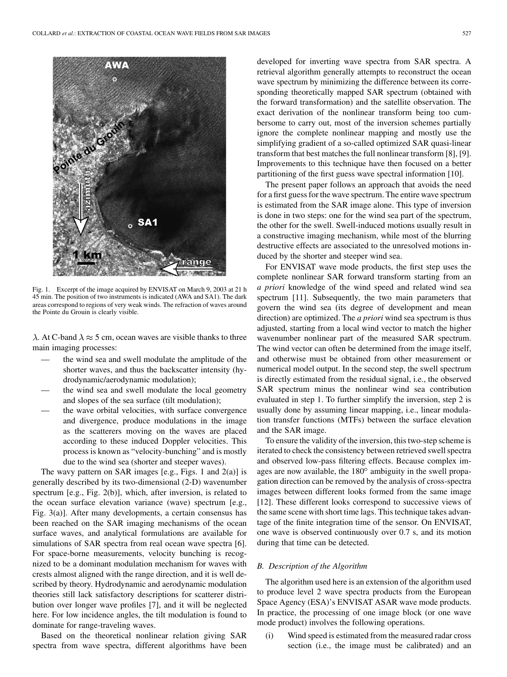

Fig. 1. Excerpt of the image acquired by ENVISAT on March 9, 2003 at 21 h 45 min. The position of two instruments is indicated (AWA and SA1). The dark areas correspond to regions of very weak winds. The refraction of waves around the Pointe du Grouin is clearly visible.

 $\lambda$ . At C-band  $\lambda \approx 5$  cm, ocean waves are visible thanks to three main imaging processes:

- the wind sea and swell modulate the amplitude of the shorter waves, and thus the backscatter intensity (hydrodynamic/aerodynamic modulation);
- the wind sea and swell modulate the local geometry and slopes of the sea surface (tilt modulation);
- the wave orbital velocities, with surface convergence and divergence, produce modulations in the image as the scatterers moving on the waves are placed according to these induced Doppler velocities. This process is known as "velocity-bunching" and is mostly due to the wind sea (shorter and steeper waves).

The wavy pattern on SAR images [e.g., Figs. 1 and  $2(a)$ ] is generally described by its two-dimensional (2-D) wavenumber spectrum [e.g., Fig. 2(b)], which, after inversion, is related to the ocean surface elevation variance (wave) spectrum [e.g., Fig. 3(a)]. After many developments, a certain consensus has been reached on the SAR imaging mechanisms of the ocean surface waves, and analytical formulations are available for simulations of SAR spectra from real ocean wave spectra [\[6](#page-7-0)]. For space-borne measurements, velocity bunching is recognized to be a dominant modulation mechanism for waves with crests almost aligned with the range direction, and it is well described by theory. Hydrodynamic and aerodynamic modulation theories still lack satisfactory descriptions for scatterer distribution over longer wave profiles [[7\]](#page-7-0), and it will be neglected here. For low incidence angles, the tilt modulation is found to dominate for range-traveling waves.

Based on the theoretical nonlinear relation giving SAR spectra from wave spectra, different algorithms have been developed for inverting wave spectra from SAR spectra. A retrieval algorithm generally attempts to reconstruct the ocean wave spectrum by minimizing the difference between its corresponding theoretically mapped SAR spectrum (obtained with the forward transformation) and the satellite observation. The exact derivation of the nonlinear transform being too cumbersome to carry out, most of the inversion schemes partially ignore the complete nonlinear mapping and mostly use the simplifying gradient of a so-called optimized SAR quasi-linear transform that best matches the full nonlinear transform [\[8](#page-7-0)], [\[9](#page-7-0)]. Improvements to this technique have then focused on a better partitioning of the first guess wave spectral information [[10\]](#page-7-0).

The present paper follows an approach that avoids the need for a first guess for the wave spectrum. The entire wave spectrum is estimated from the SAR image alone. This type of inversion is done in two steps: one for the wind sea part of the spectrum, the other for the swell. Swell-induced motions usually result in a constructive imaging mechanism, while most of the blurring destructive effects are associated to the unresolved motions induced by the shorter and steeper wind sea.

For ENVISAT wave mode products, the first step uses the complete nonlinear SAR forward transform starting from an *a priori* knowledge of the wind speed and related wind sea spectrum [[11\]](#page-7-0). Subsequently, the two main parameters that govern the wind sea (its degree of development and mean direction) are optimized. The *a priori* wind sea spectrum is thus adjusted, starting from a local wind vector to match the higher wavenumber nonlinear part of the measured SAR spectrum. The wind vector can often be determined from the image itself, and otherwise must be obtained from other measurement or numerical model output. In the second step, the swell spectrum is directly estimated from the residual signal, i.e., the observed SAR spectrum minus the nonlinear wind sea contribution evaluated in step 1. To further simplify the inversion, step 2 is usually done by assuming linear mapping, i.e., linear modulation transfer functions (MTFs) between the surface elevation and the SAR image.

To ensure the validity of the inversion, this two-step scheme is iterated to check the consistency between retrieved swell spectra and observed low-pass filtering effects. Because complex images are now available, the  $180^\circ$  ambiguity in the swell propagation direction can be removed by the analysis of cross-spectra images between different looks formed from the same image [\[12](#page-7-0)]. These different looks correspond to successive views of the same scene with short time lags. This technique takes advantage of the finite integration time of the sensor. On ENVISAT, one wave is observed continuously over 0.7 s, and its motion during that time can be detected.

#### *B. Description of the Algorithm*

The algorithm used here is an extension of the algorithm used to produce level 2 wave spectra products from the European Space Agency (ESA)'s ENVISAT ASAR wave mode products. In practice, the processing of one image block (or one wave mode product) involves the following operations.

(i) Wind speed is estimated from the measured radar cross section (i.e., the image must be calibrated) and an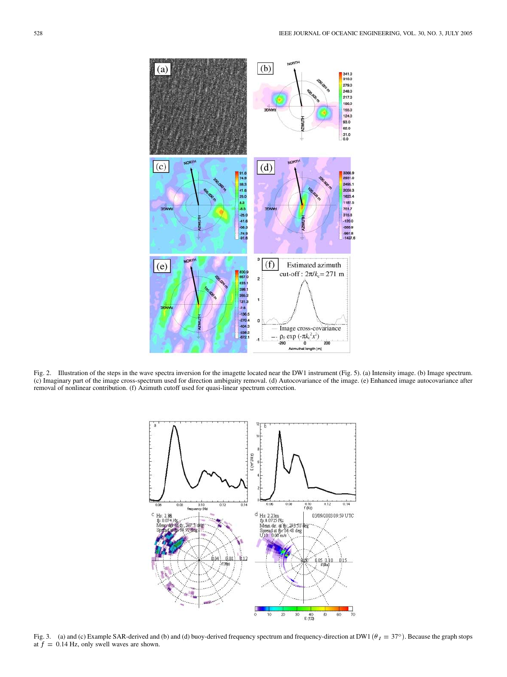

Fig. 2. Illustration of the steps in the wave spectra inversion for the imagette located near the DW1 instrument (Fig. 5). (a) Intensity image. (b) Image spectrum. (c) Imaginary part of the image cross-spectrum used for direction ambiguity removal. (d) Autocovariance of the image. (e) Enhanced image autocovariance after removal of nonlinear contribution. (f) Azimuth cutoff used for quasi-linear spectrum correction.



Fig. 3. (a) and (c) Example SAR-derived and (b) and (d) buoy-derived frequency spectrum and frequency-direction at DW1 ( $\theta_I = 37^\circ$ ). Because the graph stops at  $f = 0.14$  Hz, only swell waves are shown.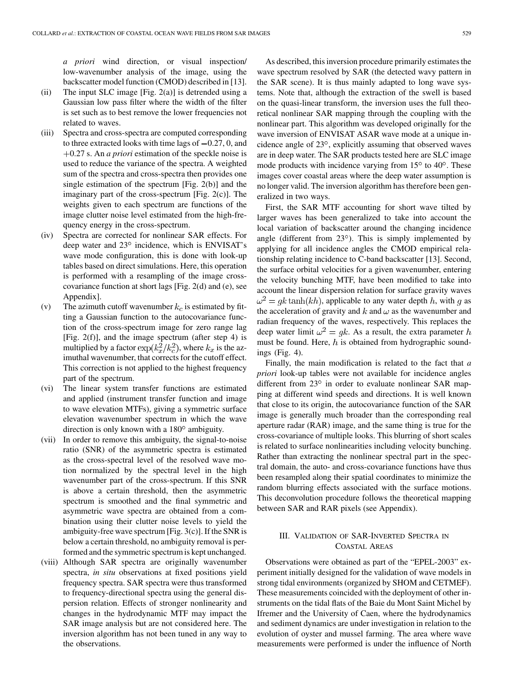*a priori* wind direction, or visual inspection/ low-wavenumber analysis of the image, using the backscatter model function (CMOD) described in [\[13](#page-7-0)].

- (ii) The input SLC image  $[Fig. 2(a)]$  is detrended using a Gaussian low pass filter where the width of the filter is set such as to best remove the lower frequencies not related to waves.
- (iii) Spectra and cross-spectra are computed corresponding to three extracted looks with time lags of  $-0.27$ , 0, and 0.27 s. An *a priori* estimation of the speckle noise is used to reduce the variance of the spectra. A weighted sum of the spectra and cross-spectra then provides one single estimation of the spectrum [Fig. 2(b)] and the imaginary part of the cross-spectrum [Fig. 2(c)]. The weights given to each spectrum are functions of the image clutter noise level estimated from the high-frequency energy in the cross-spectrum.
- (iv) Spectra are corrected for nonlinear SAR effects. For deep water and  $23^\circ$  incidence, which is ENVISAT's wave mode configuration, this is done with look-up tables based on direct simulations. Here, this operation is performed with a resampling of the image crosscovariance function at short lags [Fig. 2(d) and (e), see Appendix].
- (v) The azimuth cutoff wavenumber  $k_c$  is estimated by fitting a Gaussian function to the autocovariance function of the cross-spectrum image for zero range lag [Fig. 2(f)], and the image spectrum (after step 4) is multiplied by a factor  $\exp(k_x^2/k_c^2)$ , where  $k_x$  is the azimuthal wavenumber, that corrects for the cutoff effect. This correction is not applied to the highest frequency part of the spectrum.
- (vi) The linear system transfer functions are estimated and applied (instrument transfer function and image to wave elevation MTFs), giving a symmetric surface elevation wavenumber spectrum in which the wave direction is only known with a  $180^\circ$  ambiguity.
- (vii) In order to remove this ambiguity, the signal-to-noise ratio (SNR) of the asymmetric spectra is estimated as the cross-spectral level of the resolved wave motion normalized by the spectral level in the high wavenumber part of the cross-spectrum. If this SNR is above a certain threshold, then the asymmetric spectrum is smoothed and the final symmetric and asymmetric wave spectra are obtained from a combination using their clutter noise levels to yield the ambiguity-free wave spectrum [Fig.  $3(c)$ ]. If the SNR is below a certain threshold, no ambiguity removal is performed and the symmetric spectrum is kept unchanged.
- (viii) Although SAR spectra are originally wavenumber spectra, *in situ* observations at fixed positions yield frequency spectra. SAR spectra were thus transformed to frequency-directional spectra using the general dispersion relation. Effects of stronger nonlinearity and changes in the hydrodynamic MTF may impact the SAR image analysis but are not considered here. The inversion algorithm has not been tuned in any way to the observations.

As described, this inversion procedure primarily estimates the wave spectrum resolved by SAR (the detected wavy pattern in the SAR scene). It is thus mainly adapted to long wave systems. Note that, although the extraction of the swell is based on the quasi-linear transform, the inversion uses the full theoretical nonlinear SAR mapping through the coupling with the nonlinear part. This algorithm was developed originally for the wave inversion of ENVISAT ASAR wave mode at a unique incidence angle of 23°, explicitly assuming that observed waves are in deep water. The SAR products tested here are SLC image mode products with incidence varying from  $15^{\circ}$  to  $40^{\circ}$ . These images cover coastal areas where the deep water assumption is no longer valid. The inversion algorithm has therefore been generalized in two ways.

First, the SAR MTF accounting for short wave tilted by larger waves has been generalized to take into account the local variation of backscatter around the changing incidence angle (different from  $23^{\circ}$ ). This is simply implemented by applying for all incidence angles the CMOD empirical relationship relating incidence to C-band backscatter [\[13](#page-7-0)]. Second, the surface orbital velocities for a given wavenumber, entering the velocity bunching MTF, have been modified to take into account the linear dispersion relation for surface gravity waves  $\omega^2 = g k \tanh(kh)$ , applicable to any water depth h, with g as the acceleration of gravity and k and  $\omega$  as the wavenumber and radian frequency of the waves, respectively. This replaces the deep water limit  $\omega^2 = gk$ . As a result, the extra parameter h must be found. Here,  $h$  is obtained from hydrographic soundings (Fig. 4).

Finally, the main modification is related to the fact that *a priori* look-up tables were not available for incidence angles different from  $23^{\circ}$  in order to evaluate nonlinear SAR mapping at different wind speeds and directions. It is well known that close to its origin, the autocovariance function of the SAR image is generally much broader than the corresponding real aperture radar (RAR) image, and the same thing is true for the cross-covariance of multiple looks. This blurring of short scales is related to surface nonlinearities including velocity bunching. Rather than extracting the nonlinear spectral part in the spectral domain, the auto- and cross-covariance functions have thus been resampled along their spatial coordinates to minimize the random blurring effects associated with the surface motions. This deconvolution procedure follows the theoretical mapping between SAR and RAR pixels (see Appendix).

## III. VALIDATION OF SAR-INVERTED SPECTRA IN COASTAL AREAS

Observations were obtained as part of the "EPEL-2003" experiment initially designed for the validation of wave models in strong tidal environments (organized by SHOM and CETMEF). These measurements coincided with the deployment of other instruments on the tidal flats of the Baie du Mont Saint Michel by Ifremer and the University of Caen, where the hydrodynamics and sediment dynamics are under investigation in relation to the evolution of oyster and mussel farming. The area where wave measurements were performed is under the influence of North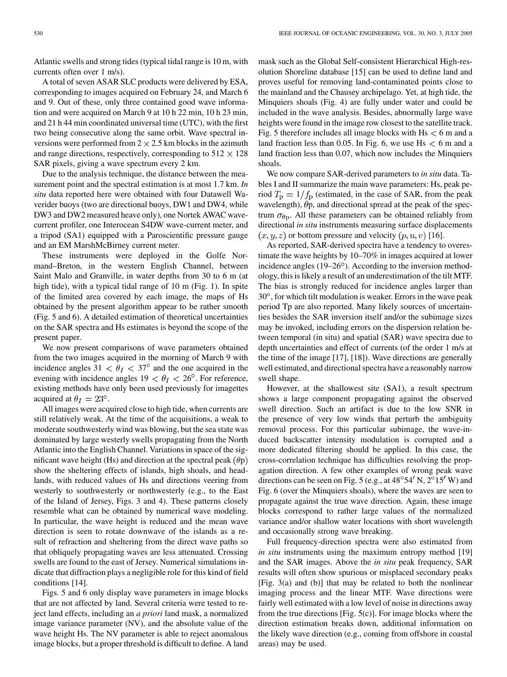Atlantic swells and strong tides (typical tidal range is 10 m, with currents often over 1 m/s).

A total of seven ASAR SLC products were delivered by ESA, corresponding to images acquired on February 24, and March 6 and 9. Out of these, only three contained good wave information and were acquired on March 9 at 10 h 22 min, 10 h 23 min, and 21 h 44 min coordinated universal time (UTC), with the first two being consecutive along the same orbit. Wave spectral inversions were performed from  $2 \times 2.5$  km blocks in the azimuth and range directions, respectively, corresponding to  $512 \times 128$ SAR pixels, giving a wave spectrum every 2 km.

Due to the analysis technique, the distance between the measurement point and the spectral estimation is at most 1.7 km. *In situ* data reported here were obtained with four Datawell Waverider buoys (two are directional buoys, DW1 and DW4, while DW3 and DW2 measured heave only), one Nortek AWAC wavecurrent profiler, one Interocean S4DW wave-current meter, and a tripod (SA1) equipped with a Paroscientific pressure gauge and an EM MarshMcBirney current meter.

These instruments were deployed in the Golfe Normand–Breton, in the western English Channel, between Saint Malo and Granville, in water depths from 30 to 6 m (at high tide), with a typical tidal range of 10 m (Fig. 1). In spite of the limited area covered by each image, the maps of Hs obtained by the present algorithm appear to be rather smooth (Fig. 5 and 6). A detailed estimation of theoretical uncertainties on the SAR spectra and Hs estimates is beyond the scope of the present paper.

We now present comparisons of wave parameters obtained from the two images acquired in the morning of March 9 with incidence angles 31  $\lt \theta_I \lt 37^\circ$  and the one acquired in the evening with incidence angles  $19 < \theta_I < 26^\circ$ . For reference, existing methods have only been used previously for imagettes acquired at  $\theta_I = 23^\circ$ .

All images were acquired close to high tide, when currents are still relatively weak. At the time of the acquisitions, a weak to moderate southwesterly wind was blowing, but the sea state was dominated by large westerly swells propagating from the North Atlantic into the English Channel. Variations in space of the significant wave height (Hs) and direction at the spectral peak  $(\theta p)$ show the sheltering effects of islands, high shoals, and headlands, with reduced values of Hs and directions veering from westerly to southwesterly or northwesterly (e.g., to the East of the Island of Jersey, Figs. 3 and 4). These patterns closely resemble what can be obtained by numerical wave modeling. In particular, the wave height is reduced and the mean wave direction is seen to rotate downwave of the islands as a result of refraction and sheltering from the direct wave paths so that obliquely propagating waves are less attenuated. Crossing swells are found to the east of Jersey. Numerical simulations indicate that diffraction plays a negligible role for this kind of field conditions [\[14](#page-7-0)].

Figs. 5 and 6 only display wave parameters in image blocks that are not affected by land. Several criteria were tested to reject land effects, including an *a priori* land mask, a normalized image variance parameter (NV), and the absolute value of the wave height Hs. The NV parameter is able to reject anomalous image blocks, but a proper threshold is difficult to define. A land

mask such as the Global Self-consistent Hierarchical High-resolution Shoreline database [\[15](#page-7-0)] can be used to define land and proves useful for removing land-contaminated points close to the mainland and the Chausey archipelago. Yet, at high tide, the Minquiers shoals (Fig. 4) are fully under water and could be included in the wave analysis. Besides, abnormally large wave heights were found in the image row closest to the satellite track. Fig. 5 therefore includes all image blocks with  $H_s < 6$  m and a land fraction less than 0.05. In Fig. 6, we use  $\text{Hs} < 6 \text{ m}$  and a land fraction less than 0.07, which now includes the Minquiers shoals.

We now compare SAR-derived parameters to *in situ* data. Tables I and II summarize the main wave parameters: Hs, peak period  $T_{\rm p} = 1/f_{\rm p}$  (estimated, in the case of SAR, from the peak wavelength),  $\theta$ p, and directional spread at the peak of the spectrum  $\sigma_{\theta p}$ . All these parameters can be obtained reliably from directional *in situ* instruments measuring surface displacements  $(x, y, z)$  or bottom pressure and velocity  $(p, u, v)$  [\[16](#page-7-0)].

As reported, SAR-derived spectra have a tendency to overestimate the wave heights by 10–70% in images acquired at lower incidence angles  $(19-26^{\circ})$ . According to the inversion methodology, this is likely a result of an underestimation of the tilt MTF. The bias is strongly reduced for incidence angles larger than  $30^\circ$ , for which tilt modulation is weaker. Errors in the wave peak period Tp are also reported. Many likely sources of uncertainties besides the SAR inversion itself and/or the subimage sizes may be invoked, including errors on the dispersion relation between temporal (in situ) and spatial (SAR) wave spectra due to depth uncertainties and effect of currents (of the order 1 m/s at the time of the image [[17\]](#page-7-0), [\[18](#page-7-0)]). Wave directions are generally well estimated, and directional spectra have a reasonably narrow swell shape.

However, at the shallowest site (SA1), a result spectrum shows a large component propagating against the observed swell direction. Such an artifact is due to the low SNR in the presence of very low winds that perturb the ambiguity removal process. For this particular subimage, the wave-induced backscatter intensity modulation is corrupted and a more dedicated filtering should be applied. In this case, the cross-correlation technique has difficulties resolving the propagation direction. A few other examples of wrong peak wave directions can be seen on Fig. 5 (e.g., at  $48^{\circ}54'$  N,  $2^{\circ}15'$  W) and Fig. 6 (over the Minquiers shoals), where the waves are seen to propagate against the true wave direction. Again, these image blocks correspond to rather large values of the normalized variance and/or shallow water locations with short wavelength and occasionally strong wave breaking.

Full frequency-direction spectra were also estimated from *in situ* instruments using the maximum entropy method [\[19](#page-7-0)] and the SAR images. Above the *in situ* peak frequency, SAR results will often show spurious or misplaced secondary peaks [Fig. 3(a) and (b)] that may be related to both the nonlinear imaging process and the linear MTF. Wave directions were fairly well estimated with a low level of noise in directions away from the true directions [Fig.  $5(c)$ ]. For image blocks where the direction estimation breaks down, additional information on the likely wave direction (e.g., coming from offshore in coastal areas) may be used.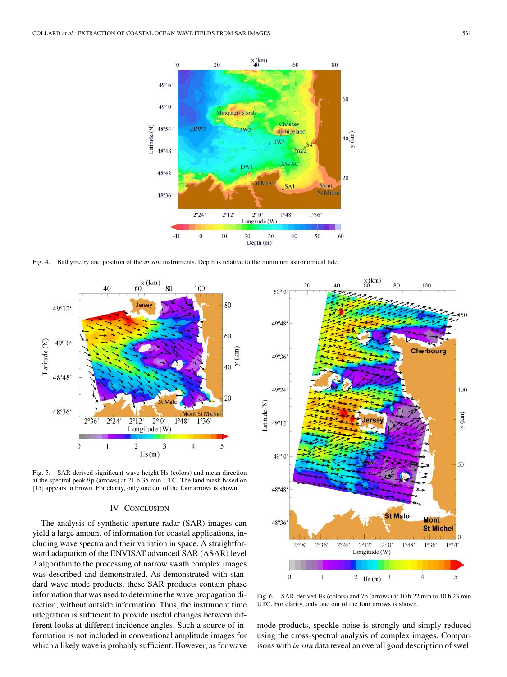

Fig. 4. Bathymetry and position of the *in situ* instruments. Depth is relative to the minimum astronomical tide.



Fig. 5. SAR-derived significant wave height Hs (colors) and mean direction at the spectral peak  $\theta$ p (arrows) at 21 h 35 min UTC. The land mask based on [[15\]](#page-7-0) appears in brown. For clarity, only one out of the four arrows is shown.

## IV. CONCLUSION

The analysis of synthetic aperture radar (SAR) images can yield a large amount of information for coastal applications, including wave spectra and their variation in space. A straightforward adaptation of the ENVISAT advanced SAR (ASAR) level 2 algorithm to the processing of narrow swath complex images was described and demonstrated. As demonstrated with standard wave mode products, these SAR products contain phase information that was used to determine the wave propagation direction, without outside information. Thus, the instrument time integration is sufficient to provide useful changes between different looks at different incidence angles. Such a source of information is not included in conventional amplitude images for which a likely wave is probably sufficient. However, as for wave



Fig. 6. SAR-derived Hs (colors) and  $\theta p$  (arrows) at 10 h 22 min to 10 h 23 min UTC. For clarity, only one out of the four arrows is shown.

mode products, speckle noise is strongly and simply reduced using the cross-spectral analysis of complex images. Comparisons with *in situ* data reveal an overall good description of swell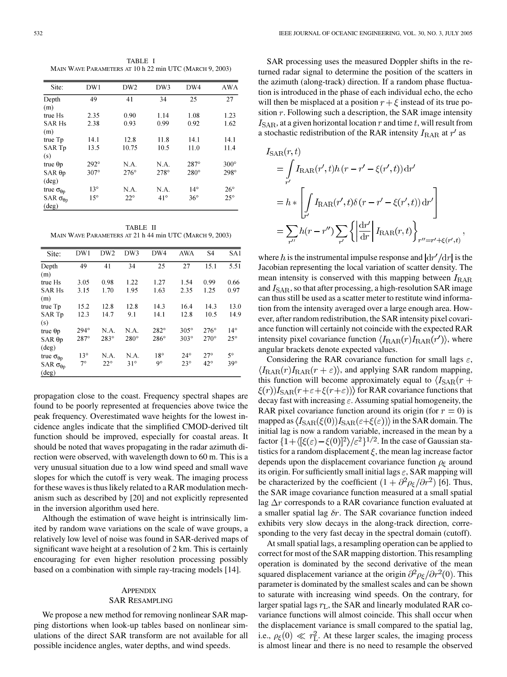TABLE I MAIN WAVE PARAMETERS AT 10 h 22 min UTC (MARCH 9, 2003)

| Site:                    | DW1          | DW2          | DW3         | DW4          | <b>AWA</b>   |
|--------------------------|--------------|--------------|-------------|--------------|--------------|
| Depth                    | 49           | 41           | 34          | 25           | 27           |
| (m)                      |              |              |             |              |              |
| true Hs                  | 2.35         | 0.90         | 1.14        | 1.08         | 1.23         |
| <b>SAR Hs</b>            | 2.38         | 0.93         | 0.99        | 0.92         | 1.62         |
| (m)                      |              |              |             |              |              |
| true Tp                  | 14.1         | 12.8         | 11.8        | 14.1         | 14.1         |
| <b>SAR Tp</b>            | 13.5         | 10.75        | 10.5        | 11.0         | 11.4         |
| (s)                      |              |              |             |              |              |
| true $\theta$ p          | $292^\circ$  | N.A.         | N.A.        | $287^\circ$  | $300^\circ$  |
| $SAR \theta p$           | $307^\circ$  | $276^\circ$  | $278^\circ$ | $280^\circ$  | 298°         |
| $(\text{deg})$           |              |              |             |              |              |
| true $\sigma_{\theta p}$ | $13^{\circ}$ | N.A.         | N.A.        | $14^{\circ}$ | $26^{\circ}$ |
| SAR $\sigma_{\theta p}$  | $15^{\circ}$ | $22^{\circ}$ | $41^\circ$  | $36^\circ$   | $25^{\circ}$ |
| $(\text{deg})$           |              |              |             |              |              |

TABLE II MAIN WAVE PARAMETERS AT 21 h 44 min UTC (MARCH 9, 2003)

| Site:                    | DW1          | DW <sub>2</sub> | DW3         | DW4          | <b>AWA</b>   | S <sub>4</sub> | SA1          |
|--------------------------|--------------|-----------------|-------------|--------------|--------------|----------------|--------------|
| Depth                    | 49           | 41              | 34          | 25           | 27           | 15.1           | 5.51         |
| (m)                      |              |                 |             |              |              |                |              |
| true Hs                  | 3.05         | 0.98            | 1.22        | 1.27         | 1.54         | 0.99           | 0.66         |
| <b>SAR Hs</b>            | 3.15         | 1.70            | 1.95        | 1.63         | 2.35         | 1.25           | 0.97         |
| (m)                      |              |                 |             |              |              |                |              |
| true Tp                  | 15.2         | 12.8            | 12.8        | 14.3         | 16.4         | 14.3           | 13.0         |
| SAR Tp                   | 12.3         | 14.7            | 9.1         | 14.1         | 12.8         | 10.5           | 14.9         |
| (s)                      |              |                 |             |              |              |                |              |
| true $\theta p$          | $294^\circ$  | N.A.            | N.A.        | $282^\circ$  | $305^\circ$  | $276^\circ$    | $14^{\circ}$ |
| $SAR \theta p$           | 287°         | $283^\circ$     | $280^\circ$ | $286^\circ$  | $303^\circ$  | $270^\circ$    | $25^\circ$   |
| $(\text{deg})$           |              |                 |             |              |              |                |              |
| true $\sigma_{\theta p}$ | $13^{\circ}$ | N.A.            | N.A.        | $18^{\circ}$ | $24^{\circ}$ | $27^\circ$     | $5^\circ$    |
| SAR $\sigma_{\theta p}$  | $7^\circ$    | $22^{\circ}$    | $31^\circ$  | q۰           | $23^\circ$   | $42^{\circ}$   | $39^\circ$   |
| $(\text{deg})$           |              |                 |             |              |              |                |              |

propagation close to the coast. Frequency spectral shapes are found to be poorly represented at frequencies above twice the peak frequency. Overestimated wave heights for the lowest incidence angles indicate that the simplified CMOD-derived tilt function should be improved, especially for coastal areas. It should be noted that waves propagating in the radar azimuth direction were observed, with wavelength down to 60 m. This is a very unusual situation due to a low wind speed and small wave slopes for which the cutoff is very weak. The imaging process for these waves is thus likely related to a RAR modulation mechanism such as described by [[20\]](#page-7-0) and not explicitly represented in the inversion algorithm used here.

Although the estimation of wave height is intrinsically limited by random wave variations on the scale of wave groups, a relatively low level of noise was found in SAR-derived maps of significant wave height at a resolution of 2 km. This is certainly encouraging for even higher resolution processing possibly based on a combination with simple ray-tracing models [[14\]](#page-7-0).

## APPENDIX

## SAR RESAMPLING

We propose a new method for removing nonlinear SAR mapping distortions when look-up tables based on nonlinear simulations of the direct SAR transform are not available for all possible incidence angles, water depths, and wind speeds.

SAR processing uses the measured Doppler shifts in the returned radar signal to determine the position of the scatters in the azimuth (along-track) direction. If a random phase fluctuation is introduced in the phase of each individual echo, the echo will then be misplaced at a position  $r + \xi$  instead of its true position  $r$ . Following such a description, the SAR image intensity  $I_{\text{SAR}}$ , at a given horizontal location r and time t, will result from a stochastic redistribution of the RAR intensity  $I_{\text{RAR}}$  at  $r'$  as

$$
I_{\text{SAR}}(r,t)
$$
  
= 
$$
\int_{r'} I_{\text{RAR}}(r',t)h(r-r'-\xi(r',t)) dr'
$$
  
= 
$$
h * \left[ \int_{r'} I_{\text{RAR}}(r',t) \delta(r-r'-\xi(r',t)) dr' \right]
$$
  
= 
$$
\sum_{r''} h(r-r'') \sum_{r'} \left\{ \left| \frac{dr'}{dr} \right| I_{\text{RAR}}(r,t) \right\}_{r''=r'+\xi(r',t)},
$$

Ī

where h is the instrumental impulse response and  $\frac{dr'}{\mathrm{d}r}$  is the Jacobian representing the local variation of scatter density. The mean intensity is conserved with this mapping between  $I_{\rm RAR}$ and  $I_{\text{SAR}}$ , so that after processing, a high-resolution SAR image can thus still be used as a scatter meter to restitute wind information from the intensity averaged over a large enough area. However, after random redistribution, the SAR intensity pixel covariance function will certainly not coincide with the expected RAR intensity pixel covariance function  $\langle I_{\rm RAR}(r)I_{\rm RAR}(r')\rangle$ , where angular brackets denote expected values.

Considering the RAR covariance function for small lags  $\varepsilon$ ,  $\langle I_{\rm RAR}(r)I_{\rm RAR}(r+\epsilon)\rangle$ , and applying SAR random mapping, this function will become approximately equal to  $\langle I_{\rm SAR}(r +$  $\xi(r)I_{\text{SAR}}(r+\epsilon+\xi(r+\epsilon))$  for RAR covariance functions that decay fast with increasing  $\varepsilon$ . Assuming spatial homogeneity, the RAR pixel covariance function around its origin (for  $r = 0$ ) is mapped as  $\langle I_{\text{SAR}}(\xi(0))I_{\text{SAR}}(\epsilon+\xi(\epsilon))\rangle$  in the SAR domain. The initial lag is now a random variable, increased in the mean by a factor  $\{1+\langle [\xi(\varepsilon)-\xi(0)]^2 \rangle / \varepsilon^2\}^{1/2}$ . In the case of Gaussian statistics for a random displacement  $\xi$ , the mean lag increase factor depends upon the displacement covariance function  $\rho<sub>f</sub>$  around its origin. For sufficiently small initial lags  $\varepsilon$ , SAR mapping will be characterized by the coefficient  $(1 + \partial^2 \rho_{\xi}/\partial r^2)$  [\[6](#page-7-0)]. Thus, the SAR image covariance function measured at a small spatial lag  $\Delta r$  corresponds to a RAR covariance function evaluated at a smaller spatial lag  $\delta r$ . The SAR covariance function indeed exhibits very slow decays in the along-track direction, corresponding to the very fast decay in the spectral domain (cutoff).

At small spatial lags, a resampling operation can be applied to correct for most of the SAR mapping distortion. This resampling operation is dominated by the second derivative of the mean squared displacement variance at the origin  $\partial^2 \rho_{\xi}/\partial r^2(0)$ . This parameter is dominated by the smallest scales and can be shown to saturate with increasing wind speeds. On the contrary, for larger spatial lags  $r<sub>L</sub>$ , the SAR and linearly modulated RAR covariance functions will almost coincide. This shall occur when the displacement variance is small compared to the spatial lag, i.e.,  $\rho_{\xi}(0) \ll r_{\text{L}}^2$ . At these larger scales, the imaging process is almost linear and there is no need to resample the observed